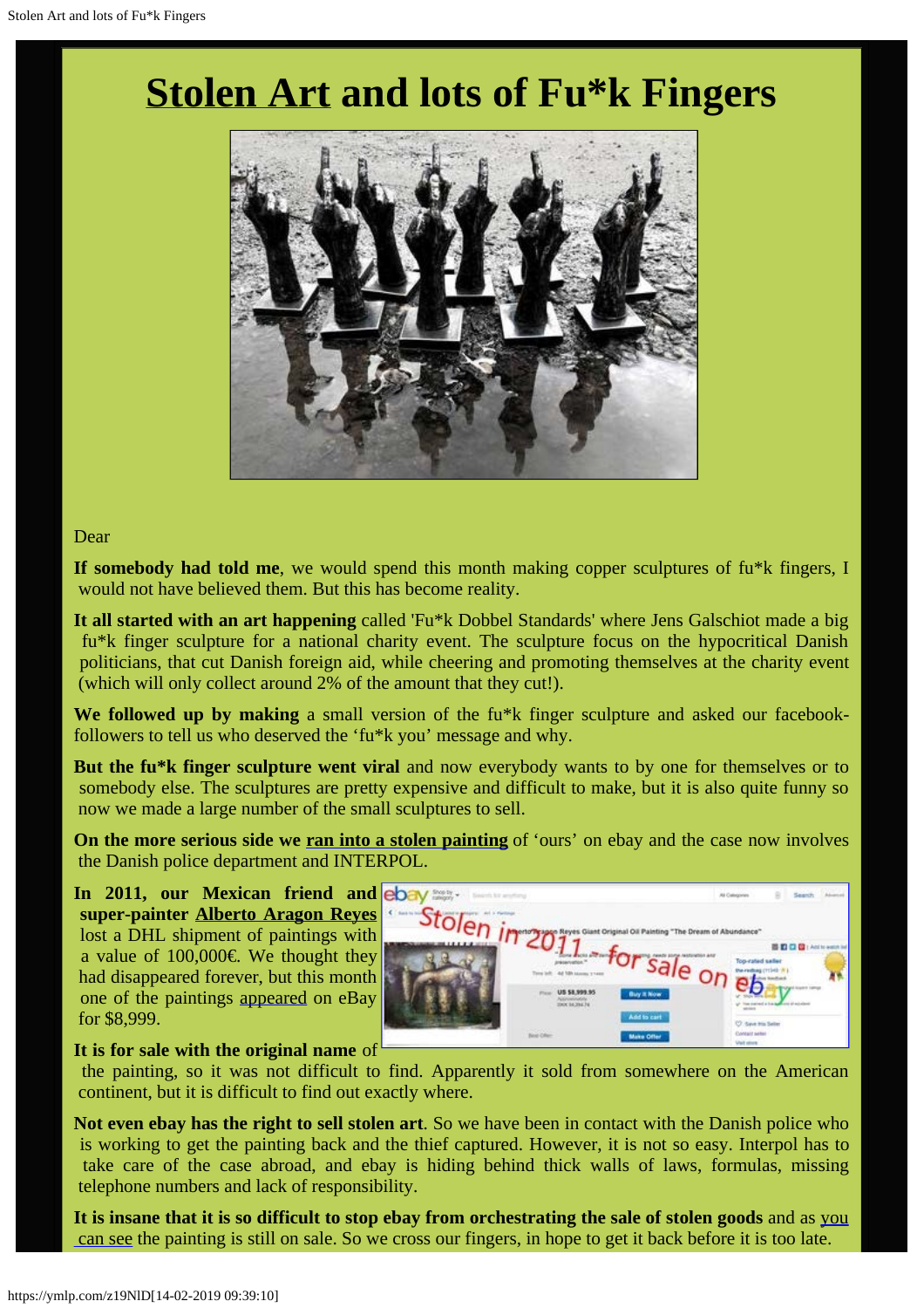# **[Stolen Art](https://www.ebay.com/itm/Alberto-Aragon-Reyes-Giant-Original-Oil-Painting-The-Dream-of-Abundance-/372256870992) and lots of Fu\*k Fingers**



#### Dear

**If somebody had told me**, we would spend this month making copper sculptures of fu\*k fingers, I would not have believed them. But this has become reality.

**It all started with an art happening** called 'Fu\*k Dobbel Standards' where Jens Galschiot made a big fu\*k finger sculpture for a national charity event. The sculpture focus on the hypocritical Danish politicians, that cut Danish foreign aid, while cheering and promoting themselves at the charity event (which will only collect around 2% of the amount that they cut!).

We followed up by making a small version of the fu\*k finger sculpture and asked our facebookfollowers to tell us who deserved the 'fu\*k you' message and why.

**But the fu\*k finger sculpture went viral** and now everybody wants to by one for themselves or to somebody else. The sculptures are pretty expensive and difficult to make, but it is also quite funny so now we made a large number of the small sculptures to sell.

**On the more serious side we [ran into a stolen painting](https://www.ebay.com/itm/Alberto-Aragon-Reyes-Giant-Original-Oil-Painting-The-Dream-of-Abundance-/372256870992)** of 'ours' on ebay and the case now involves the Danish police department and INTERPOL.

**In 2011, our Mexican friend and super-painter [Alberto Aragon Reyes](http://www.albertoaragonreyes.com/)** lost a DHL shipment of paintings with a value of  $100,000 \in \mathbb{W}$ e thought they had disappeared forever, but this month one of the paintings [appeared](https://www.ebay.com/itm/Alberto-Aragon-Reyes-Giant-Original-Oil-Painting-The-Dream-of-Abundance-/372256870992) on eBay for \$8,999.



#### **It is for sale with the original name** of

 the painting, so it was not difficult to find. Apparently it sold from somewhere on the American continent, but it is difficult to find out exactly where.

**Not even ebay has the right to sell stolen art**. So we have been in contact with the Danish police who is working to get the painting back and the thief captured. However, it is not so easy. Interpol has to take care of the case abroad, and ebay is hiding behind thick walls of laws, formulas, missing telephone numbers and lack of responsibility.

**It is insane that it is so difficult to stop ebay from orchestrating the sale of stolen goods** and as [you](https://www.ebay.com/itm/Alberto-Aragon-Reyes-Giant-Original-Oil-Painting-The-Dream-of-Abundance-/372256870992)  [can see](https://www.ebay.com/itm/Alberto-Aragon-Reyes-Giant-Original-Oil-Painting-The-Dream-of-Abundance-/372256870992) the painting is still on sale. So we cross our fingers, in hope to get it back before it is too late.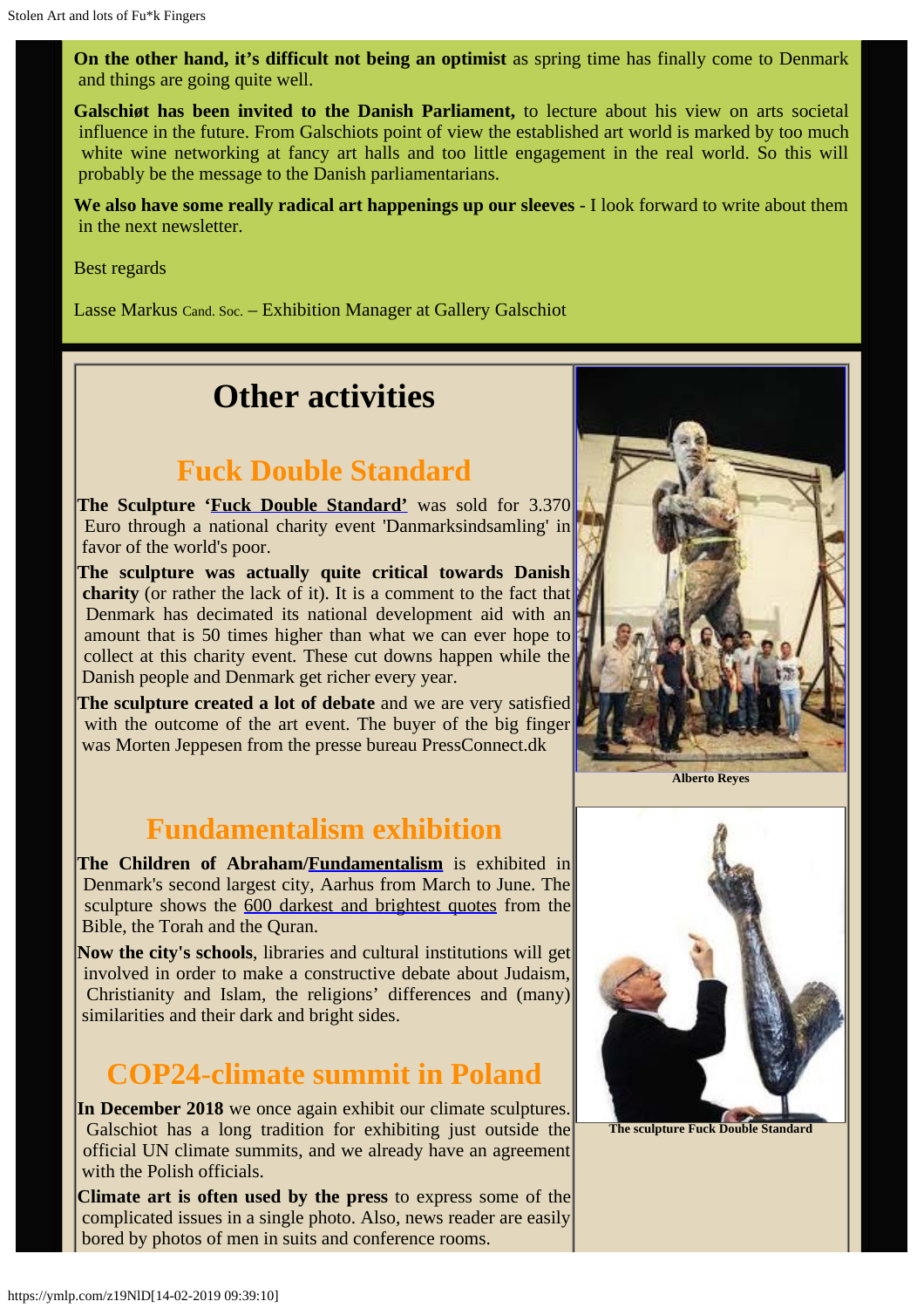**On the other hand, it's difficult not being an optimist** as spring time has finally come to Denmark and things are going quite well.

**Galschiøt has been invited to the Danish Parliament,** to lecture about his view on arts societal influence in the future. From Galschiots point of view the established art world is marked by too much white wine networking at fancy art halls and too little engagement in the real world. So this will probably be the message to the Danish parliamentarians.

**We also have some really radical art happenings up our sleeves** - I look forward to write about them in the next newsletter.

Best regards

Lasse Markus Cand. Soc. – Exhibition Manager at Gallery Galschiot

## **Other activities**

### **Fuck Double Standard**

**The Sculpture ['Fuck Double Standard'](http://www.galschiot.com/fuck-dobbeltmoralen/)** was sold for 3.370 Euro through a national charity event 'Danmarksindsamling' in favor of the world's poor.

**The sculpture was actually quite critical towards Danish charity** (or rather the lack of it). It is a comment to the fact that Denmark has decimated its national development aid with an amount that is 50 times higher than what we can ever hope to collect at this charity event. These cut downs happen while the Danish people and Denmark get richer every year.

**The sculpture created a lot of debate** and we are very satisfied with the outcome of the art event. The buyer of the big finger was Morten Jeppesen from the presse bureau PressConnect.dk

### **Fundamentalism exhibition**

**The Children of Abraham[/Fundamentalism](http://fundamentalism.dk/en/)** is exhibited in Denmark's second largest city, Aarhus from March to June. The sculpture shows the [600 darkest and brightest quotes](http://www.fundamentalism.dk/quotesearch/index.php?lang=GB) from the Bible, the Torah and the Quran.

**Now the city's schools**, libraries and cultural institutions will get involved in order to make a constructive debate about Judaism, Christianity and Islam, the religions' differences and (many) similarities and their dark and bright sides.

### **COP24-climate summit in Poland**

**In December 2018** we once again exhibit our climate sculptures. Galschiot has a long tradition for exhibiting just outside the official UN climate summits, and we already have an agreement with the Polish officials.

**Climate art is often used by the press** to express some of the complicated issues in a single photo. Also, news reader are easily bored by photos of men in suits and conference rooms.







**The sculpture Fuck Double Standard**